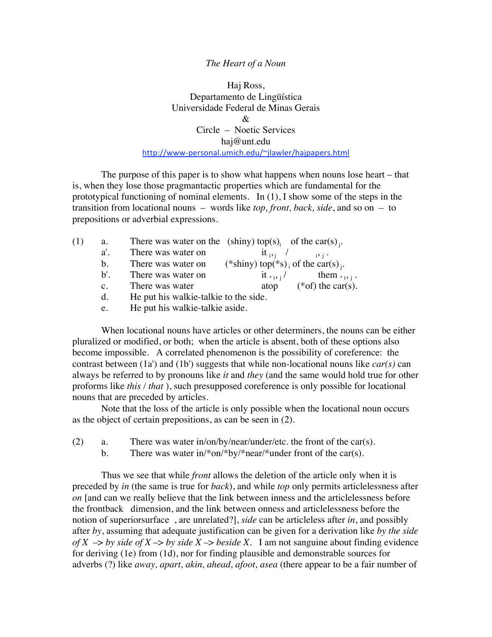## *The Heart of a Noun*

Haj Ross, Departamento de Lingüística Universidade Federal de Minas Gerais  $\mathcal{R}_{\mathcal{T}}$ Circle – Noetic Services haj@unt.edu http://www‐personal.umich.edu/~jlawler/hajpapers.html

The purpose of this paper is to show what happens when nouns lose heart – that is, when they lose those pragmantactic properties which are fundamental for the prototypical functioning of nominal elements. In (1), I show some of the steps in the transition from locational nouns – words like *top, front, back, side*, and so on – to prepositions or adverbial expressions.

| (1) | a.             | There was water on the (shiny) top(s) <sub>i</sub> of the car(s) <sub>i</sub> . |                                                            |                                      |
|-----|----------------|---------------------------------------------------------------------------------|------------------------------------------------------------|--------------------------------------|
|     | $a^{\prime}$ . | There was water on                                                              |                                                            | it <sub>isi</sub> / <sub>isi</sub> . |
|     | $h_{\cdot}$    | There was water on                                                              | (*shiny) top(*s) <sub>i</sub> of the car(s) <sub>i</sub> . |                                      |
|     | $\mathbf{b}$   | There was water on                                                              |                                                            | $it_{\{i,j\}}$ them $_{\{i,j\}}$ .   |
|     | $\mathbf{c}$ . | There was water                                                                 | atop                                                       | $(*of)$ the car(s).                  |
|     |                | He put his walkie talkie to the side                                            |                                                            |                                      |

- d. He put his walkie-talkie to the side.
- e. He put his walkie-talkie aside.

When locational nouns have articles or other determiners, the nouns can be either pluralized or modified, or both; when the article is absent, both of these options also become impossible. A correlated phenomenon is the possibility of coreference: the contrast between (1a') and (1b') suggests that while non-locational nouns like *car(s)* can always be referred to by pronouns like *it* and *they* (and the same would hold true for other proforms like *this / that* ), such presupposed coreference is only possible for locational nouns that are preceded by articles.

Note that the loss of the article is only possible when the locational noun occurs as the object of certain prepositions, as can be seen in (2).

- (2) a. There was water in/on/by/near/under/etc. the front of the car(s).
	- b. There was water in/\*on/\*by/\*near/\*under front of the car(s).

Thus we see that while *front* allows the deletion of the article only when it is preceded by *in* (the same is true for *back*), and while *top* only permits articlelessness after *on* [and can we really believe that the link between inness and the articlelessness before the frontback dimension, and the link between onness and articlelessness before the notion of superiorsurface , are unrelated?], *side* can be articleless after *in*, and possibly after *by*, assuming that adequate justification can be given for a derivation like *by the side of X*  $\rightarrow$  *by side of X*  $\rightarrow$  *by side X*  $\rightarrow$  *beside X*. I am not sanguine about finding evidence for deriving (1e) from (1d), nor for finding plausible and demonstrable sources for adverbs (?) like *away, apart, akin, ahead, afoot, asea* (there appear to be a fair number of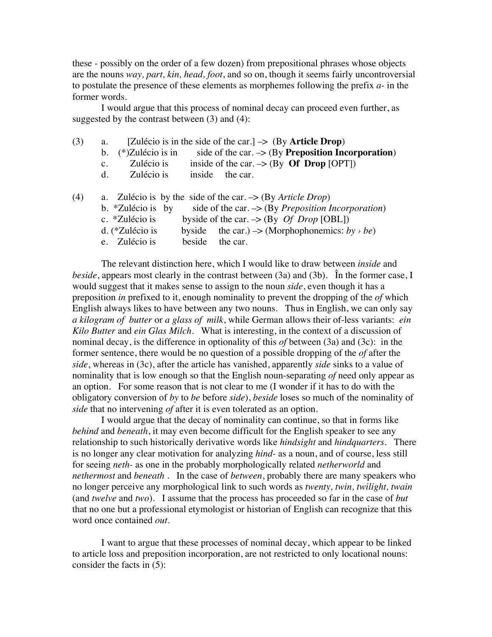these - possibly on the order of a few dozen) from prepositional phrases whose objects are the nouns *way, part, kin, head, foot*, and so on, though it seems fairly uncontroversial to postulate the presence of these elements as morphemes following the prefix *a-* in the former words.

I would argue that this process of nominal decay can proceed even further, as suggested by the contrast between (3) and (4):

| (3) | a.          |                     | [Zulécio is in the side of the car.] $\rightarrow$ (By Article Drop)     |  |
|-----|-------------|---------------------|--------------------------------------------------------------------------|--|
|     | $b_{\cdot}$ | $(*)$ Zulécio is in | side of the car. $\rightarrow$ (By Preposition Incorporation)            |  |
|     | $c_{\cdot}$ | Zulécio is          | inside of the car. $\rightarrow$ (By Of Drop [OPT])                      |  |
|     | d.          | Zulécio is          | inside<br>the car.                                                       |  |
|     |             |                     |                                                                          |  |
| (4) |             |                     | a. Zulécio is by the side of the car. $\rightarrow$ (By Article Drop)    |  |
|     |             | b. *Zulécio is by   | side of the car. $\rightarrow$ (By <i>Preposition Incorporation</i> )    |  |
|     |             | c. *Zulécio is      | byside of the car. $\rightarrow$ (By <i>Of Drop</i> [OBL])               |  |
|     |             | d. (*Zulécio is     | the car.) $\rightarrow$ (Morphophonemics: by $\rightarrow$ be)<br>byside |  |

e. Zulécio is beside the car.

The relevant distinction here, which I would like to draw between *inside* and *beside*, appears most clearly in the contrast between (3a) and (3b). În the former case, I would suggest that it makes sense to assign to the noun *side*, even though it has a preposition *in* prefixed to it, enough nominality to prevent the dropping of the *of* which English always likes to have between any two nouns. Thus in English, we can only say *a kilogram of butter* or *a glass of milk*, while German allows their of-less variants: *ein Kilo Butter* and *ein Glas Milch*. What is interesting, in the context of a discussion of nominal decay, is the difference in optionality of this *of* between (3a) and (3c): in the former sentence, there would be no question of a possible dropping of the *of* after the *side*, whereas in (3c), after the article has vanished, apparently *side* sinks to a value of nominality that is low enough so that the English noun-separating *of* need only appear as an option. For some reason that is not clear to me (I wonder if it has to do with the obligatory conversion of *by* to *be* before *side*), *beside* loses so much of the nominality of *side* that no intervening *of* after it is even tolerated as an option.

I would argue that the decay of nominality can continue, so that in forms like *behind* and *beneath*, it may even become difficult for the English speaker to see any relationship to such historically derivative words like *hindsight* and *hindquarters*. There is no longer any clear motivation for analyzing *hind-* as a noun, and of course, less still for seeing *neth-* as one in the probably morphologically related *netherworld* and *nethermost* and *beneath* . In the case of *between*, probably there are many speakers who no longer perceive any morphological link to such words as *twenty, twin, twilight, twain* (and *twelve* and *two*). I assume that the process has proceeded so far in the case of *but* that no one but a professional etymologist or historian of English can recognize that this word once contained *out*.

I want to argue that these processes of nominal decay, which appear to be linked to article loss and preposition incorporation, are not restricted to only locational nouns: consider the facts in (5):